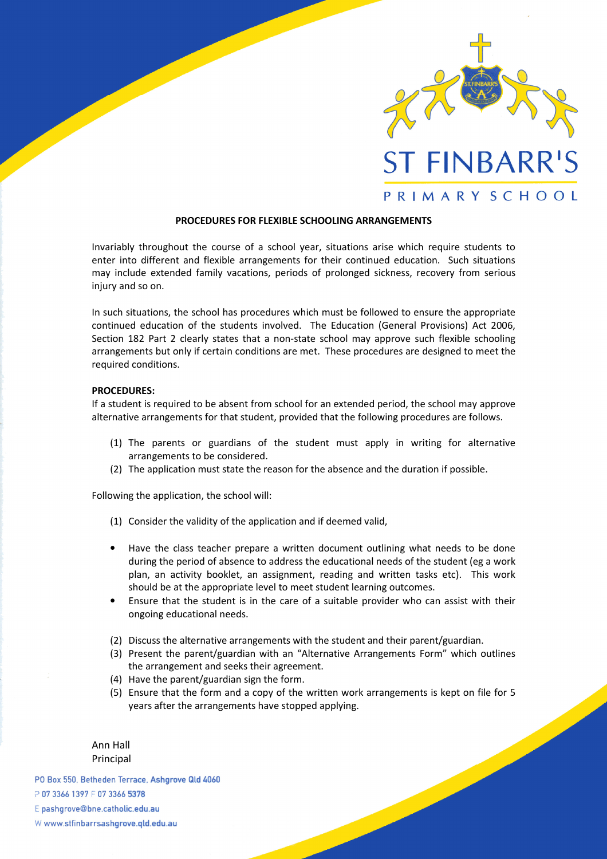

## PROCEDURES FOR FLEXIBLE SCHOOLING ARRANGEMENTS

Invariably throughout the course of a school year, situations arise which require students to enter into different and flexible arrangements for their continued education. Such situations may include extended family vacations, periods of prolonged sickness, recovery from serious injury and so on.

In such situations, the school has procedures which must be followed to ensure the appropriate continued education of the students involved. The Education (General Provisions) Act 2006, Section 182 Part 2 clearly states that a non-state school may approve such flexible schooling arrangements but only if certain conditions are met. These procedures are designed to meet the required conditions.

## PROCEDURES:

If a student is required to be absent from school for an extended period, the school may approve alternative arrangements for that student, provided that the following procedures are follows.

- (1) The parents or guardians of the student must apply in writing for alternative arrangements to be considered.
- (2) The application must state the reason for the absence and the duration if possible.

Following the application, the school will:

- (1) Consider the validity of the application and if deemed valid,
- Have the class teacher prepare a written document outlining what needs to be done during the period of absence to address the educational needs of the student (eg a work plan, an activity booklet, an assignment, reading and written tasks etc). This work should be at the appropriate level to meet student learning outcomes.
- Ensure that the student is in the care of a suitable provider who can assist with their ongoing educational needs.
- (2) Discuss the alternative arrangements with the student and their parent/guardian.
- (3) Present the parent/guardian with an "Alternative Arrangements Form" which outlines the arrangement and seeks their agreement.
- (4) Have the parent/guardian sign the form.
- (5) Ensure that the form and a copy of the written work arrangements is kept on file for 5 years after the arrangements have stopped applying.

Ann Hall Principal

PO Box 550, Betheden Terrace, Ashgrove Qld 4060 P 07 3366 1397 F 07 3366 5378 E pashgrove@bne.catholic.edu.au W www.stfinbarrsashgrove.qld.edu.au